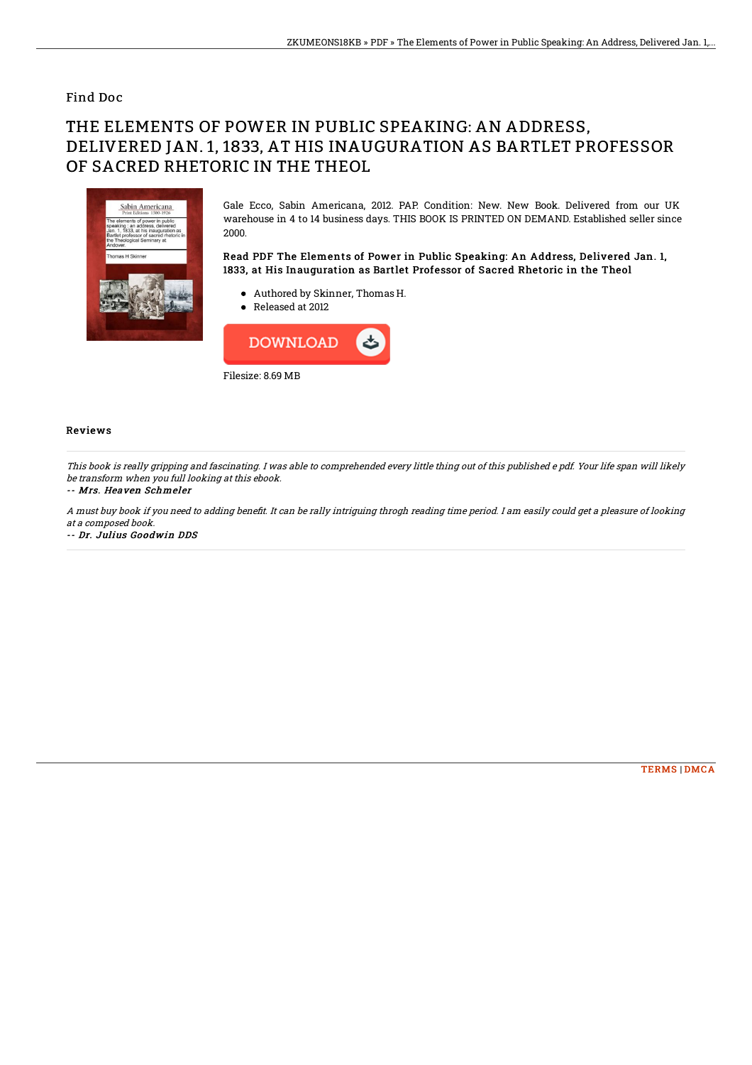### Find Doc

# THE ELEMENTS OF POWER IN PUBLIC SPEAKING: AN ADDRESS, DELIVERED JAN. 1, 1833, AT HIS INAUGURATION AS BARTLET PROFESSOR OF SACRED RHETORIC IN THE THEOL



Gale Ecco, Sabin Americana, 2012. PAP. Condition: New. New Book. Delivered from our UK warehouse in 4 to 14 business days. THIS BOOK IS PRINTED ON DEMAND. Established seller since 2000.

Read PDF The Elements of Power in Public Speaking: An Address, Delivered Jan. 1, 1833, at His Inauguration as Bartlet Professor of Sacred Rhetoric in the Theol

- Authored by Skinner, Thomas H.
- Released at 2012



### Reviews

This book is really gripping and fascinating. I was able to comprehended every little thing out of this published <sup>e</sup> pdf. Your life span will likely be transform when you full looking at this ebook.

#### -- Mrs. Heaven Schmeler

A must buy book if you need to adding benefit. It can be rally intriguing throgh reading time period. I am easily could get a pleasure of looking at <sup>a</sup> composed book.

-- Dr. Julius Goodwin DDS